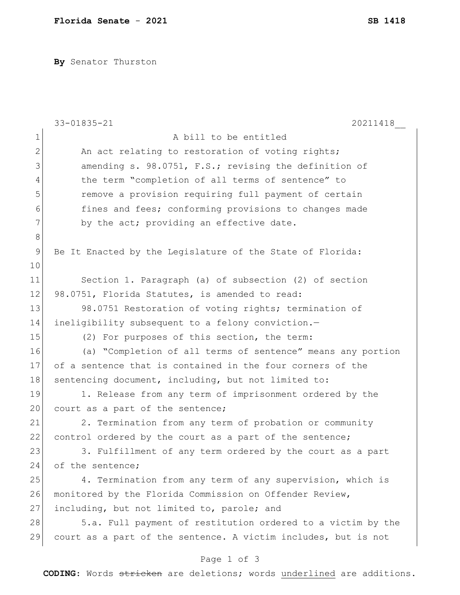**By** Senator Thurston

|                | 33-01835-21<br>20211418                                        |
|----------------|----------------------------------------------------------------|
| 1              | A bill to be entitled                                          |
| $\overline{2}$ | An act relating to restoration of voting rights;               |
| 3              | amending s. 98.0751, F.S.; revising the definition of          |
| 4              | the term "completion of all terms of sentence" to              |
| 5              | remove a provision requiring full payment of certain           |
| 6              | fines and fees; conforming provisions to changes made          |
| 7              | by the act; providing an effective date.                       |
| $\,8\,$        |                                                                |
| 9              | Be It Enacted by the Legislature of the State of Florida:      |
| 10             |                                                                |
| 11             | Section 1. Paragraph (a) of subsection (2) of section          |
| 12             | 98.0751, Florida Statutes, is amended to read:                 |
| 13             | 98.0751 Restoration of voting rights; termination of           |
| 14             | ineligibility subsequent to a felony conviction.-              |
| 15             | (2) For purposes of this section, the term:                    |
| 16             | (a) "Completion of all terms of sentence" means any portion    |
| 17             | of a sentence that is contained in the four corners of the     |
| 18             | sentencing document, including, but not limited to:            |
| 19             | 1. Release from any term of imprisonment ordered by the        |
| 20             | court as a part of the sentence;                               |
| 21             | 2. Termination from any term of probation or community         |
| 22             | control ordered by the court as a part of the sentence;        |
| 23             | 3. Fulfillment of any term ordered by the court as a part      |
| 24             | of the sentence;                                               |
| 25             | 4. Termination from any term of any supervision, which is      |
| 26             | monitored by the Florida Commission on Offender Review,        |
| 27             | including, but not limited to, parole; and                     |
| 28             | 5.a. Full payment of restitution ordered to a victim by the    |
| 29             | court as a part of the sentence. A victim includes, but is not |
|                |                                                                |

## Page 1 of 3

**CODING**: Words stricken are deletions; words underlined are additions.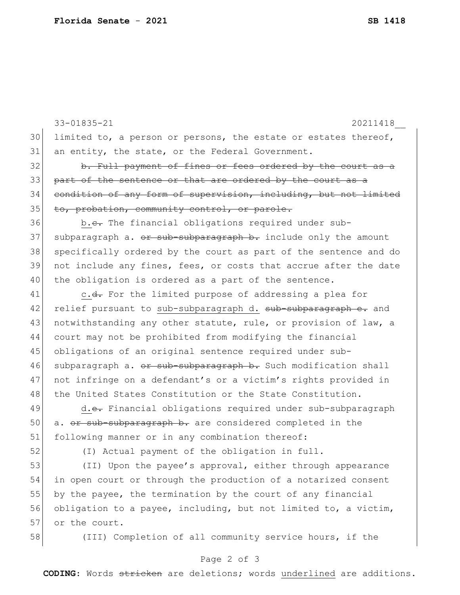|                                                                       | 33-01835-21<br>20211418                                          |  |  |
|-----------------------------------------------------------------------|------------------------------------------------------------------|--|--|
| 30                                                                    | limited to, a person or persons, the estate or estates thereof,  |  |  |
| 31                                                                    | an entity, the state, or the Federal Government.                 |  |  |
| 32                                                                    | b. Full payment of fines or fees ordered by the court as a       |  |  |
| 33                                                                    | part of the sentence or that are ordered by the court as a       |  |  |
| 34                                                                    | condition of any form of supervision, including, but not limited |  |  |
| 35                                                                    | to, probation, community control, or parole.                     |  |  |
| 36                                                                    | b.e. The financial obligations required under sub-               |  |  |
| 37                                                                    | subparagraph a. or sub-subparagraph b. include only the amount   |  |  |
| 38                                                                    | specifically ordered by the court as part of the sentence and do |  |  |
| 39                                                                    | not include any fines, fees, or costs that accrue after the date |  |  |
| 40                                                                    | the obligation is ordered as a part of the sentence.             |  |  |
| 41                                                                    | c.d. For the limited purpose of addressing a plea for            |  |  |
| 42                                                                    | relief pursuant to sub-subparagraph d. sub-subparagraph e. and   |  |  |
| 43                                                                    | notwithstanding any other statute, rule, or provision of law, a  |  |  |
| 44                                                                    | court may not be prohibited from modifying the financial         |  |  |
| 45                                                                    | obligations of an original sentence required under sub-          |  |  |
| 46                                                                    | subparagraph a. or sub-subparagraph b. Such modification shall   |  |  |
| 47                                                                    | not infringe on a defendant's or a victim's rights provided in   |  |  |
| 48                                                                    | the United States Constitution or the State Constitution.        |  |  |
| 49                                                                    | d.e. Financial obligations required under sub-subparagraph       |  |  |
| 50                                                                    | a. or sub-subparagraph b. are considered completed in the        |  |  |
| 51                                                                    | following manner or in any combination thereof:                  |  |  |
| 52                                                                    | (I) Actual payment of the obligation in full.                    |  |  |
| 53                                                                    | (II) Upon the payee's approval, either through appearance        |  |  |
| 54                                                                    | in open court or through the production of a notarized consent   |  |  |
| 55                                                                    | by the payee, the termination by the court of any financial      |  |  |
| 56                                                                    | obligation to a payee, including, but not limited to, a victim,  |  |  |
| 57                                                                    | or the court.                                                    |  |  |
| 58                                                                    | (III) Completion of all community service hours, if the          |  |  |
| Page 2 of 3                                                           |                                                                  |  |  |
| CODING: Words stricken are deletions; words underlined are additions. |                                                                  |  |  |